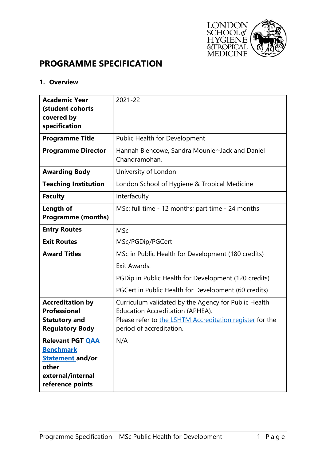

# **PROGRAMME SPECIFICATION**

# **1. Overview**

| <b>Academic Year</b><br>(student cohorts                                                                                 | 2021-22                                                                                                                                                                          |
|--------------------------------------------------------------------------------------------------------------------------|----------------------------------------------------------------------------------------------------------------------------------------------------------------------------------|
| covered by                                                                                                               |                                                                                                                                                                                  |
| specification                                                                                                            |                                                                                                                                                                                  |
| <b>Programme Title</b>                                                                                                   | Public Health for Development                                                                                                                                                    |
| <b>Programme Director</b>                                                                                                | Hannah Blencowe, Sandra Mounier-Jack and Daniel<br>Chandramohan,                                                                                                                 |
| <b>Awarding Body</b>                                                                                                     | University of London                                                                                                                                                             |
| <b>Teaching Institution</b>                                                                                              | London School of Hygiene & Tropical Medicine                                                                                                                                     |
| <b>Faculty</b>                                                                                                           | Interfaculty                                                                                                                                                                     |
| Length of                                                                                                                | MSc: full time - 12 months; part time - 24 months                                                                                                                                |
| <b>Programme (months)</b>                                                                                                |                                                                                                                                                                                  |
| <b>Entry Routes</b>                                                                                                      | <b>MSc</b>                                                                                                                                                                       |
| <b>Exit Routes</b>                                                                                                       | MSc/PGDip/PGCert                                                                                                                                                                 |
| <b>Award Titles</b>                                                                                                      | MSc in Public Health for Development (180 credits)                                                                                                                               |
|                                                                                                                          | <b>Exit Awards:</b>                                                                                                                                                              |
|                                                                                                                          | PGDip in Public Health for Development (120 credits)                                                                                                                             |
|                                                                                                                          | PGCert in Public Health for Development (60 credits)                                                                                                                             |
| <b>Accreditation by</b><br><b>Professional</b><br><b>Statutory and</b><br><b>Regulatory Body</b>                         | Curriculum validated by the Agency for Public Health<br>Education Accreditation (APHEA).<br>Please refer to the LSHTM Accreditation register for the<br>period of accreditation. |
| <b>Relevant PGT QAA</b><br><b>Benchmark</b><br><b>Statement and/or</b><br>other<br>external/internal<br>reference points | N/A                                                                                                                                                                              |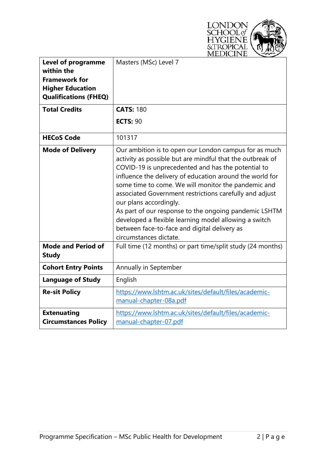

| <b>Level of programme</b><br>within the<br><b>Framework for</b><br><b>Higher Education</b><br><b>Qualifications (FHEQ)</b> | Masters (MSc) Level 7                                                                                                                                                                                                                                                                                                                                                                                                                                                                                                                                                        |  |  |  |  |
|----------------------------------------------------------------------------------------------------------------------------|------------------------------------------------------------------------------------------------------------------------------------------------------------------------------------------------------------------------------------------------------------------------------------------------------------------------------------------------------------------------------------------------------------------------------------------------------------------------------------------------------------------------------------------------------------------------------|--|--|--|--|
| <b>Total Credits</b>                                                                                                       | <b>CATS: 180</b>                                                                                                                                                                                                                                                                                                                                                                                                                                                                                                                                                             |  |  |  |  |
|                                                                                                                            | <b>ECTS: 90</b>                                                                                                                                                                                                                                                                                                                                                                                                                                                                                                                                                              |  |  |  |  |
| <b>HECoS Code</b>                                                                                                          | 101317                                                                                                                                                                                                                                                                                                                                                                                                                                                                                                                                                                       |  |  |  |  |
| <b>Mode of Delivery</b>                                                                                                    | Our ambition is to open our London campus for as much<br>activity as possible but are mindful that the outbreak of<br>COVID-19 is unprecedented and has the potential to<br>influence the delivery of education around the world for<br>some time to come. We will monitor the pandemic and<br>associated Government restrictions carefully and adjust<br>our plans accordingly.<br>As part of our response to the ongoing pandemic LSHTM<br>developed a flexible learning model allowing a switch<br>between face-to-face and digital delivery as<br>circumstances dictate. |  |  |  |  |
| <b>Mode and Period of</b><br><b>Study</b>                                                                                  | Full time (12 months) or part time/split study (24 months)                                                                                                                                                                                                                                                                                                                                                                                                                                                                                                                   |  |  |  |  |
| <b>Cohort Entry Points</b>                                                                                                 | Annually in September                                                                                                                                                                                                                                                                                                                                                                                                                                                                                                                                                        |  |  |  |  |
| <b>Language of Study</b>                                                                                                   | English                                                                                                                                                                                                                                                                                                                                                                                                                                                                                                                                                                      |  |  |  |  |
| <b>Re-sit Policy</b>                                                                                                       | https://www.lshtm.ac.uk/sites/default/files/academic-<br>manual-chapter-08a.pdf                                                                                                                                                                                                                                                                                                                                                                                                                                                                                              |  |  |  |  |
| <b>Extenuating</b><br><b>Circumstances Policy</b>                                                                          | https://www.lshtm.ac.uk/sites/default/files/academic-<br>manual-chapter-07.pdf                                                                                                                                                                                                                                                                                                                                                                                                                                                                                               |  |  |  |  |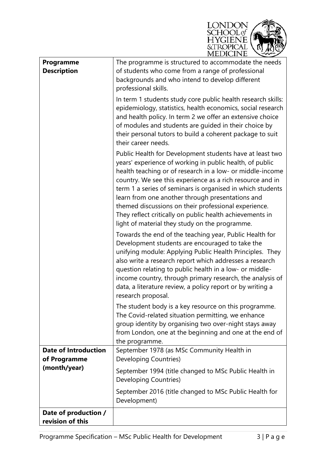

| Programme<br><b>Description</b>             | The programme is structured to accommodate the needs<br>of students who come from a range of professional<br>backgrounds and who intend to develop different<br>professional skills.                                                                                                                                                                                                                                                                                                                                                   |
|---------------------------------------------|----------------------------------------------------------------------------------------------------------------------------------------------------------------------------------------------------------------------------------------------------------------------------------------------------------------------------------------------------------------------------------------------------------------------------------------------------------------------------------------------------------------------------------------|
|                                             | In term 1 students study core public health research skills:<br>epidemiology, statistics, health economics, social research<br>and health policy. In term 2 we offer an extensive choice<br>of modules and students are guided in their choice by<br>their personal tutors to build a coherent package to suit<br>their career needs.                                                                                                                                                                                                  |
|                                             | Public Health for Development students have at least two<br>years' experience of working in public health, of public<br>health teaching or of research in a low- or middle-income<br>country. We see this experience as a rich resource and in<br>term 1 a series of seminars is organised in which students<br>learn from one another through presentations and<br>themed discussions on their professional experience.<br>They reflect critically on public health achievements in<br>light of material they study on the programme. |
|                                             | Towards the end of the teaching year, Public Health for<br>Development students are encouraged to take the<br>unifying module: Applying Public Health Principles. They<br>also write a research report which addresses a research<br>question relating to public health in a low- or middle-<br>income country, through primary research, the analysis of<br>data, a literature review, a policy report or by writing a<br>research proposal.                                                                                          |
|                                             | The student body is a key resource on this programme.<br>The Covid-related situation permitting, we enhance<br>group identity by organising two over-night stays away<br>from London, one at the beginning and one at the end of<br>the programme.                                                                                                                                                                                                                                                                                     |
| <b>Date of Introduction</b><br>of Programme | September 1978 (as MSc Community Health in<br>Developing Countries)                                                                                                                                                                                                                                                                                                                                                                                                                                                                    |
| (month/year)                                | September 1994 (title changed to MSc Public Health in<br>Developing Countries)                                                                                                                                                                                                                                                                                                                                                                                                                                                         |
|                                             | September 2016 (title changed to MSc Public Health for<br>Development)                                                                                                                                                                                                                                                                                                                                                                                                                                                                 |
| Date of production /<br>revision of this    |                                                                                                                                                                                                                                                                                                                                                                                                                                                                                                                                        |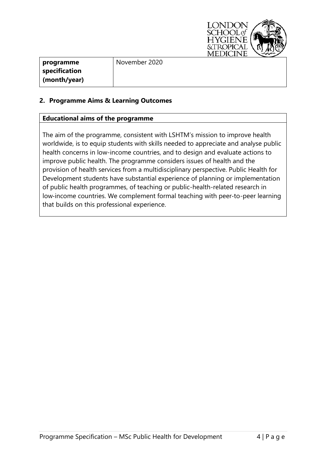

| programme     | November 2020 |
|---------------|---------------|
| specification |               |
| (month/year)  |               |

# **2. Programme Aims & Learning Outcomes**

### **Educational aims of the programme**

The aim of the programme, consistent with LSHTM's mission to improve health worldwide, is to equip students with skills needed to appreciate and analyse public health concerns in low-income countries, and to design and evaluate actions to improve public health. The programme considers issues of health and the provision of health services from a multidisciplinary perspective. Public Health for Development students have substantial experience of planning or implementation of public health programmes, of teaching or public-health-related research in low-income countries. We complement formal teaching with peer-to-peer learning that builds on this professional experience.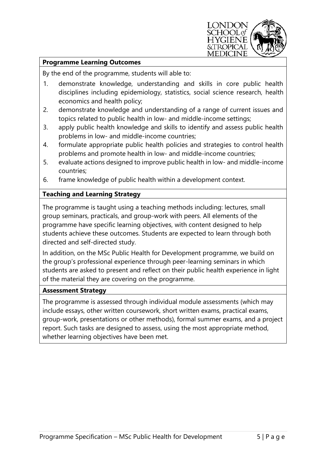

## **Programme Learning Outcomes**

By the end of the programme, students will able to:

- 1. demonstrate knowledge, understanding and skills in core public health disciplines including epidemiology, statistics, social science research, health economics and health policy;
- 2. demonstrate knowledge and understanding of a range of current issues and topics related to public health in low- and middle-income settings;
- 3. apply public health knowledge and skills to identify and assess public health problems in low- and middle-income countries;
- 4. formulate appropriate public health policies and strategies to control health problems and promote health in low- and middle-income countries;
- 5. evaluate actions designed to improve public health in low- and middle-income countries;
- 6. frame knowledge of public health within a development context.

# **Teaching and Learning Strategy**

The programme is taught using a teaching methods including: lectures, small group seminars, practicals, and group-work with peers. All elements of the programme have specific learning objectives, with content designed to help students achieve these outcomes. Students are expected to learn through both directed and self-directed study.

In addition, on the MSc Public Health for Development programme, we build on the group's professional experience through peer-learning seminars in which students are asked to present and reflect on their public health experience in light of the material they are covering on the programme.

#### **Assessment Strategy**

The programme is assessed through individual module assessments (which may include essays, other written coursework, short written exams, practical exams, group-work, presentations or other methods), formal summer exams, and a project report. Such tasks are designed to assess, using the most appropriate method, whether learning objectives have been met.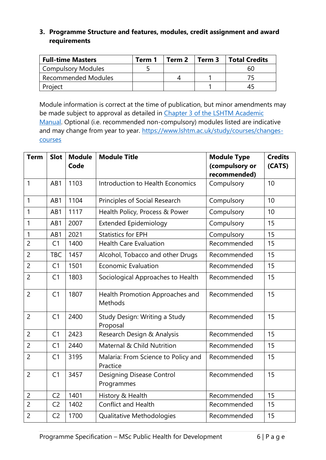# **3. Programme Structure and features, modules, credit assignment and award requirements**

| <b>Full-time Masters</b>   | Term 1 | Term 2 | Term 3 | Total Credits |
|----------------------------|--------|--------|--------|---------------|
| Compulsory Modules         |        |        |        | 60            |
| <b>Recommended Modules</b> |        |        |        |               |
| Project                    |        |        |        | 45            |

Module information is correct at the time of publication, but minor amendments may be made subject to approval as detailed in Chapter 3 of the LSHTM Academic [Manual.](https://www.lshtm.ac.uk/sites/default/files/academic-manual-chapter-03.pdf) Optional (i.e. recommended non-compulsory) modules listed are indicative and may change from year to year. [https://www.lshtm.ac.uk/study/courses/changes](https://www.lshtm.ac.uk/study/courses/changes-courses)[courses](https://www.lshtm.ac.uk/study/courses/changes-courses)

| <b>Term</b>    | <b>Slot</b>    | <b>Module</b><br>Code | <b>Module Title</b>                             | <b>Module Type</b><br>(compulsory or<br>recommended) | <b>Credits</b><br>(CATS) |
|----------------|----------------|-----------------------|-------------------------------------------------|------------------------------------------------------|--------------------------|
| $\mathbf{1}$   | AB1            | 1103                  | Introduction to Health Economics                | Compulsory                                           | 10                       |
| 1              | AB1            | 1104                  | Principles of Social Research                   | Compulsory                                           | 10                       |
| $\mathbf{1}$   | AB1            | 1117                  | Health Policy, Process & Power                  | Compulsory                                           | 10                       |
| $\mathbf{1}$   | AB1            | 2007                  | <b>Extended Epidemiology</b>                    | Compulsory                                           | 15                       |
| 1              | AB1            | 2021                  | <b>Statistics for EPH</b>                       | Compulsory                                           | 15                       |
| $\overline{2}$ | C1             | 1400                  | <b>Health Care Evaluation</b>                   | Recommended                                          | 15                       |
| $\overline{2}$ | <b>TBC</b>     | 1457                  | Alcohol, Tobacco and other Drugs                | Recommended                                          | 15                       |
| $\overline{2}$ | C1             | 1501                  | <b>Economic Evaluation</b>                      | Recommended                                          | 15                       |
| $\overline{2}$ | C <sub>1</sub> | 1803                  | Sociological Approaches to Health               | Recommended                                          | 15                       |
| $\overline{2}$ | C <sub>1</sub> | 1807                  | Health Promotion Approaches and<br>Methods      | Recommended                                          | 15                       |
| $\overline{2}$ | C <sub>1</sub> | 2400                  | Study Design: Writing a Study<br>Proposal       | Recommended                                          | 15                       |
| $\overline{2}$ | C <sub>1</sub> | 2423                  | Research Design & Analysis                      | Recommended                                          | 15                       |
| $\overline{2}$ | C <sub>1</sub> | 2440                  | Maternal & Child Nutrition                      | Recommended                                          | 15                       |
| $\overline{2}$ | C <sub>1</sub> | 3195                  | Malaria: From Science to Policy and<br>Practice | Recommended                                          | 15                       |
| $\overline{2}$ | C <sub>1</sub> | 3457                  | <b>Designing Disease Control</b><br>Programmes  | Recommended                                          | 15                       |
| $\overline{2}$ | C <sub>2</sub> | 1401                  | History & Health                                | Recommended                                          | 15                       |
| $\overline{2}$ | C <sub>2</sub> | 1402                  | <b>Conflict and Health</b>                      | Recommended                                          | 15                       |
| $\overline{2}$ | C <sub>2</sub> | 1700                  | Qualitative Methodologies                       | Recommended                                          | 15                       |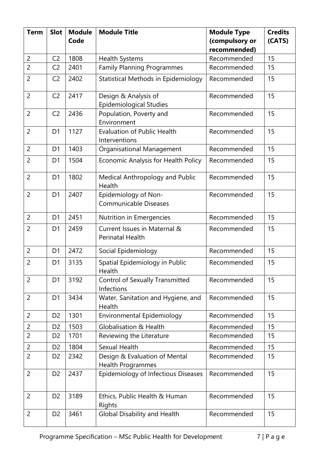| <b>Term</b>                      | <b>Slot</b>    | <b>Module</b> | <b>Module Title</b>                                             | <b>Module Type</b>          | <b>Credits</b> |
|----------------------------------|----------------|---------------|-----------------------------------------------------------------|-----------------------------|----------------|
|                                  |                | Code          |                                                                 | (compulsory or              | (CATS)         |
|                                  | C <sub>2</sub> | 1808          |                                                                 | recommended)<br>Recommended | 15             |
| $\overline{c}$<br>$\overline{2}$ | C <sub>2</sub> | 2401          | <b>Health Systems</b><br><b>Family Planning Programmes</b>      | Recommended                 | 15             |
|                                  |                |               |                                                                 |                             |                |
| $\overline{2}$                   | C <sub>2</sub> | 2402          | Statistical Methods in Epidemiology                             | Recommended                 | 15             |
| $\overline{2}$                   | C <sub>2</sub> | 2417          | Design & Analysis of<br><b>Epidemiological Studies</b>          | Recommended                 | 15             |
| $\overline{2}$                   | C <sub>2</sub> | 2436          | Population, Poverty and<br>Environment                          | Recommended                 | 15             |
| $\overline{2}$                   | D <sub>1</sub> | 1127          | <b>Evaluation of Public Health</b><br>Interventions             | Recommended                 | 15             |
| $\overline{2}$                   | D <sub>1</sub> | 1403          | Organisational Management                                       | Recommended                 | 15             |
| $\overline{2}$                   | D <sub>1</sub> | 1504          | Economic Analysis for Health Policy                             | Recommended                 | 15             |
| $\overline{2}$                   | D <sub>1</sub> | 1802          | Medical Anthropology and Public<br>Health                       | Recommended                 | 15             |
| $\overline{2}$                   | D <sub>1</sub> | 2407          | Epidemiology of Non-<br><b>Communicable Diseases</b>            | Recommended                 | 15             |
| $\overline{2}$                   | D <sub>1</sub> | 2451          | Nutrition in Emergencies                                        | Recommended                 | 15             |
| $\overline{2}$                   | D <sub>1</sub> | 2459          | Current Issues in Maternal &<br>Perinatal Health                | Recommended                 | 15             |
| $\overline{2}$                   | D <sub>1</sub> | 2472          | Social Epidemiology                                             | Recommended                 | 15             |
| $\overline{2}$                   | D <sub>1</sub> | 3135          | Spatial Epidemiology in Public<br>Health                        | Recommended                 | 15             |
| $\overline{2}$                   | D <sub>1</sub> | 3192          | <b>Control of Sexually Transmitted</b><br>Infections            | Recommended                 | 15             |
| $\overline{c}$                   | D <sub>1</sub> | 3434          | Water, Sanitation and Hygiene, and<br>Health                    | Recommended                 | 15             |
| $\overline{2}$                   | D <sub>2</sub> | 1301          | Environmental Epidemiology                                      | Recommended                 | 15             |
| 2                                | D <sub>2</sub> | 1503          | <b>Globalisation &amp; Health</b>                               | Recommended                 | 15             |
| $\overline{2}$                   | D <sub>2</sub> | 1701          | Reviewing the Literature                                        | Recommended                 | 15             |
| $\overline{c}$                   | D <sub>2</sub> | 1804          | Sexual Health                                                   | Recommended                 | 15             |
| $\overline{2}$                   | D <sub>2</sub> | 2342          | Design & Evaluation of Mental                                   | Recommended                 | 15             |
| $\overline{2}$                   | D <sub>2</sub> | 2437          | <b>Health Programmes</b><br>Epidemiology of Infectious Diseases | Recommended                 | 15             |
| $\overline{2}$                   | D <sub>2</sub> | 3189          | Ethics, Public Health & Human<br>Rights                         | Recommended                 | 15             |
| $\overline{2}$                   | D <sub>2</sub> | 3461          | <b>Global Disability and Health</b>                             | Recommended                 | 15             |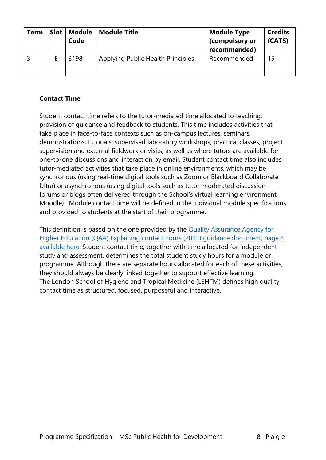| <b>Term</b> | Slot   Module<br>Code | <b>Module Title</b>               | <b>Module Type</b><br>(compulsory or<br>recommended) | <b>Credits</b><br>(CATS) |
|-------------|-----------------------|-----------------------------------|------------------------------------------------------|--------------------------|
|             | 3198                  | Applying Public Health Principles | Recommended                                          | 15                       |

# **Contact Time**

Student contact time refers to the tutor-mediated time allocated to teaching, provision of guidance and feedback to students. This time includes activities that take place in face-to-face contexts such as on-campus lectures, seminars, demonstrations, tutorials, supervised laboratory workshops, practical classes, project supervision and external fieldwork or visits, as well as where tutors are available for one-to-one discussions and interaction by email. Student contact time also includes tutor-mediated activities that take place in online environments, which may be synchronous (using real-time digital tools such as Zoom or Blackboard Collaborate Ultra) or asynchronous (using digital tools such as tutor-moderated discussion forums or blogs often delivered through the School's virtual learning environment, Moodle). Module contact time will be defined in the individual module specifications and provided to students at the start of their programme.

This definition is based on the one provided by the Quality Assurance Agency for [Higher Education \(QAA\) Explaining contact hours \(2011\) guidance document, page 4](https://www.qaa.ac.uk/docs/qaa/quality-code/contact-hours-guidance.pdf)  [available here.](https://www.qaa.ac.uk/docs/qaa/quality-code/contact-hours-guidance.pdf) Student contact time, together with time allocated for independent study and assessment, determines the total student study hours for a module or programme. Although there are separate hours allocated for each of these activities, they should always be clearly linked together to support effective learning. The London School of Hygiene and Tropical Medicine (LSHTM) defines high quality contact time as structured, focused, purposeful and interactive.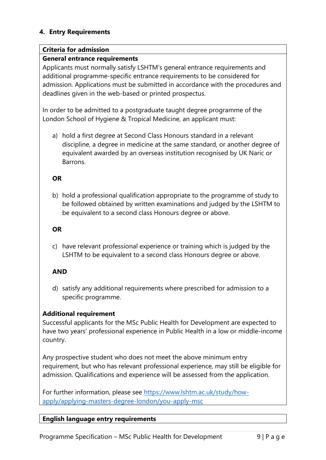# **4. Entry Requirements**

### **Criteria for admission**

# **General entrance requirements**

Applicants must normally satisfy LSHTM's general entrance requirements and additional programme-specific entrance requirements to be considered for admission. Applications must be submitted in accordance with the procedures and deadlines given in the web-based or printed prospectus.

In order to be admitted to a postgraduate taught degree programme of the London School of Hygiene & Tropical Medicine, an applicant must:

a) hold a first degree at Second Class Honours standard in a relevant discipline, a degree in medicine at the same standard, or another degree of equivalent awarded by an overseas institution recognised by UK Naric or Barrons.

### **OR**

b) hold a professional qualification appropriate to the programme of study to be followed obtained by written examinations and judged by the LSHTM to be equivalent to a second class Honours degree or above.

### **OR**

c) have relevant professional experience or training which is judged by the LSHTM to be equivalent to a second class Honours degree or above.

# **AND**

d) satisfy any additional requirements where prescribed for admission to a specific programme.

# **Additional requirement**

Successful applicants for the MSc Public Health for Development are expected to have two years' professional experience in Public Health in a low or middle-income country.

Any prospective student who does not meet the above minimum entry requirement, but who has relevant professional experience, may still be eligible for admission. Qualifications and experience will be assessed from the application.

For further information, please see [https://www.lshtm.ac.uk/study/how](https://www.lshtm.ac.uk/study/how-apply/applying-masters-degree-london/you-apply-msc)[apply/applying-masters-degree-london/you-apply-msc](https://www.lshtm.ac.uk/study/how-apply/applying-masters-degree-london/you-apply-msc)

# **English language entry requirements**